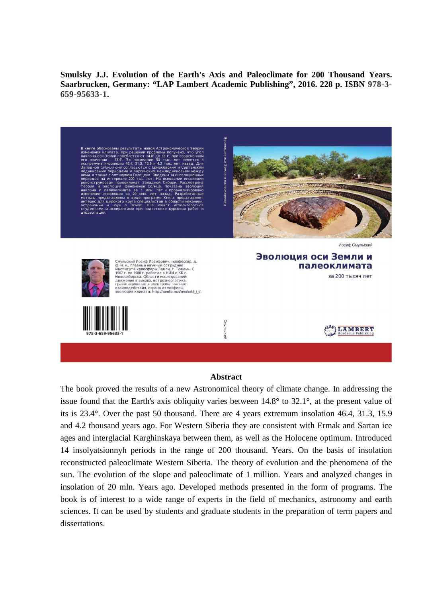**Smulsky J.J. Evolution of the Earth's Axis and Paleoclimate for 200 Thousand Years. Saarbrucken, Germany: "LAP Lambert Academic Publishing", 2016. 228 p. ISBN 978-3- 659-95633-1.** 

Иосиф Смульский Эволюция оси Земли и Смульский Иосиф Иосифович, профессор, д.<br>ф.-м. н., главный научный сот рудник<br>Института криосферы Земли, г. Тюмень. С<br>1967 г. по 1988 г. работал в НИИ и КБ г.<br>Новосибирска. Области исследований:<br>движения в вихрях, ветроэ палеоклимата за 200 тысяч лет LANBERT

## **Abstract**

The book proved the results of a new Astronomical theory of climate change. In addressing the issue found that the Earth's axis obliquity varies between 14.8° to 32.1°, at the present value of its is 23.4°. Over the past 50 thousand. There are 4 years extremum insolation 46.4, 31.3, 15.9 and 4.2 thousand years ago. For Western Siberia they are consistent with Ermak and Sartan ice ages and interglacial Karghinskaya between them, as well as the Holocene optimum. Introduced 14 insolyatsionnyh periods in the range of 200 thousand. Years. On the basis of insolation reconstructed paleoclimate Western Siberia. The theory of evolution and the phenomena of the sun. The evolution of the slope and paleoclimate of 1 million. Years and analyzed changes in insolation of 20 mln. Years ago. Developed methods presented in the form of programs. The book is of interest to a wide range of experts in the field of mechanics, astronomy and earth sciences. It can be used by students and graduate students in the preparation of term papers and dissertations.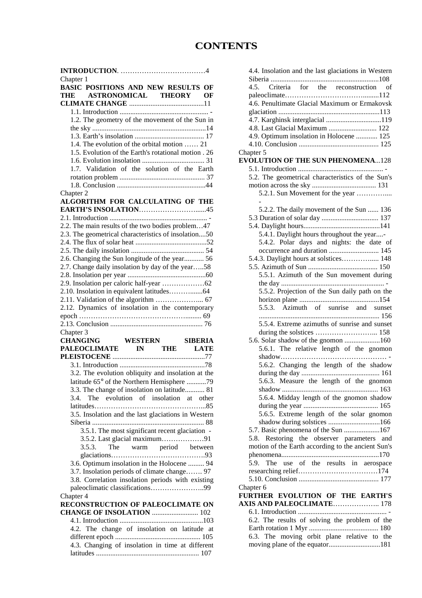## **CONTENTS**

| Chapter 1                                            |
|------------------------------------------------------|
| BASIC POSITIONS AND NEW RESULTS OF                   |
| THE ASTRONOMICAL THEORY<br>ОF                        |
|                                                      |
|                                                      |
| 1.2. The geometry of the movement of the Sun in      |
|                                                      |
| 1.4. The evolution of the orbital motion  21         |
| 1.5. Evolution of the Earth's rotational motion . 26 |
|                                                      |
| 1.7. Validation of the solution of the Earth         |
|                                                      |
|                                                      |
| Chapter 2                                            |
| ALGORITHM FOR CALCULATING OF THE                     |
|                                                      |
|                                                      |
| 2.2. The main results of the two bodies problem47    |
| 2.3. The geometrical characteristics of insolation50 |
|                                                      |
|                                                      |
| 2.6. Changing the Sun longitude of the year 56       |
| 2.7. Change daily insolation by day of the year58    |
|                                                      |
|                                                      |
|                                                      |
| 2.12. Dynamics of insolation in the contemporary     |
|                                                      |
|                                                      |
|                                                      |
|                                                      |
| Chapter 3                                            |
|                                                      |
| CHANGING WESTERN SIBERIA<br>PALEOCLIMATE IN THE LATE |
|                                                      |
|                                                      |
| 3.2. The evolution obliquity and insolation at the   |
| latitude 65° of the Northern Hemisphere 79           |
| 3.3. The change of insolation on latitude 81<br>3.4. |
| The evolution of insolation at other                 |
|                                                      |
| 3.5. Insolation and the last glaciations in Western  |
| 3.5.1. The most significant recent glaciation -      |
|                                                      |
| The warm period between<br>3.5.3.                    |
|                                                      |
| 3.6. Optimum insolation in the Holocene  94          |
| 3.7. Insolation periods of climate change 97         |
| 3.8. Correlation insolation periods with existing    |
| paleoclimatic classifications99                      |
| Chapter 4                                            |
| RECONSTRUCTION OF PALEOCLIMATE ON                    |
| <b>CHANGE OF INSOLATION  102</b>                     |
|                                                      |
| 4.2. The change of insolation on latitude at         |
|                                                      |
| 4.3. Changing of insolation in time at different     |

| 4.4. Insolation and the last glaciations in Western |
|-----------------------------------------------------|
| 4.5. Criteria for the reconstruction<br>of          |
|                                                     |
| 4.6. Penultimate Glacial Maximum or Ermakovsk       |
|                                                     |
| 4.7. Karghinsk interglacial 119                     |
| 4.8. Last Glacial Maximum  122                      |
| 4.9. Optimum insolation in Holocene  125            |
|                                                     |
| Chapter 5                                           |
| <b>EVOLUTION OF THE SUN PHENOMENA128</b>            |
|                                                     |
| 5.2. The geometrical characteristics of the Sun's   |
|                                                     |
| 5.2.1. Sun Movement for the year                    |
|                                                     |
|                                                     |
| 5.2.2. The daily movement of the Sun  136           |
|                                                     |
|                                                     |
| 5.4.1. Daylight hours throughout the year-          |
| 5.4.2. Polar days and nights: the date of           |
| occurrence and duration  145                        |
| 5.4.3. Daylight hours at solstices 148              |
|                                                     |
| 5.5.1. Azimuth of the Sun movement during           |
|                                                     |
| 5.5.2. Projection of the Sun daily path on the      |
|                                                     |
| 5.5.3. Azimuth of sunrise and sunset                |
|                                                     |
| 5.5.4. Extreme azimuths of sunrise and sunset       |
|                                                     |
| 5.6. Solar shadow of the gnomon 160                 |
| 5.6.1. The relative length of the gnomon            |
|                                                     |
| 5.6.2. Changing the length of the shadow            |
|                                                     |
| 5.6.3. Measure the length of the gnomon             |
|                                                     |
| 5.6.4. Midday length of the gnomon shadow           |
|                                                     |
| 5.6.5. Extreme length of the solar gnomon           |
| shadow during solstices 166                         |
| 5.7. Basic phenomena of the Sun 167                 |
| Restoring the observer parameters<br>5.8.<br>and    |
| motion of the Earth according to the ancient Sun's  |
|                                                     |
| use of the results in aerospace<br>5.9.<br>The      |
|                                                     |
|                                                     |
| Chapter 6                                           |
| FURTHER EVOLUTION OF THE EARTH'S                    |
| <b>AXIS AND PALEOCLIMATE 178</b>                    |
|                                                     |
| 6.2. The results of solving the problem of the      |
|                                                     |
| 6.3. The moving orbit plane relative to the         |
| moving plane of the equator181                      |